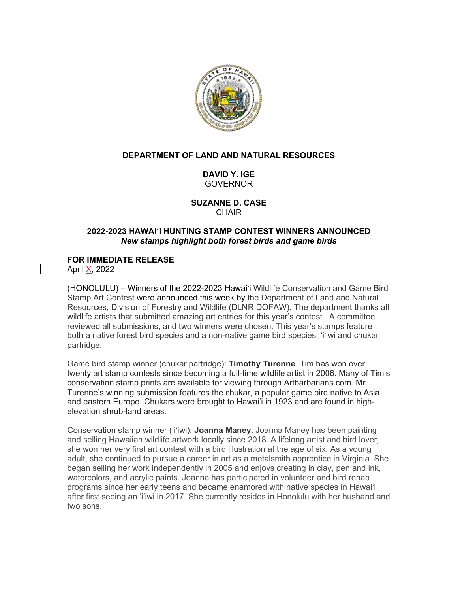

## **DEPARTMENT OF LAND AND NATURAL RESOURCES**

**DAVID Y. IGE** GOVERNOR

**SUZANNE D. CASE CHAIR** 

## **2022-2023 HAWAI'I HUNTING STAMP CONTEST WINNERS ANNOUNCED** *New stamps highlight both forest birds and game birds*

# **FOR IMMEDIATE RELEASE**

April X, 2022

(HONOLULU) – Winners of the 2022-2023 Hawai'i Wildlife Conservation and Game Bird Stamp Art Contest were announced this week by the Department of Land and Natural Resources, Division of Forestry and Wildlife (DLNR DOFAW). The department thanks all wildlife artists that submitted amazing art entries for this year's contest. A committee reviewed all submissions, and two winners were chosen. This year's stamps feature both a native forest bird species and a non-native game bird species: ʻiʻiwi and chukar partridge.

Game bird stamp winner (chukar partridge): **Timothy Turenne**. Tim has won over twenty art stamp contests since becoming a full-time wildlife artist in 2006. Many of Tim's conservation stamp prints are available for viewing through Artbarbarians.com. Mr. Turenne's winning submission features the chukar, a popular game bird native to Asia and eastern Europe. Chukars were brought to Hawaiʻi in 1923 and are found in highelevation shrub-land areas.

Conservation stamp winner (ʻiʻiwi): **Joanna Maney**. Joanna Maney has been painting and selling Hawaiian wildlife artwork locally since 2018. A lifelong artist and bird lover, she won her very first art contest with a bird illustration at the age of six. As a young adult, she continued to pursue a career in art as a metalsmith apprentice in Virginia. She began selling her work independently in 2005 and enjoys creating in clay, pen and ink, watercolors, and acrylic paints. Joanna has participated in volunteer and bird rehab programs since her early teens and became enamored with native species in Hawaiʻi after first seeing an 'i'iwi in 2017. She currently resides in Honolulu with her husband and two sons.